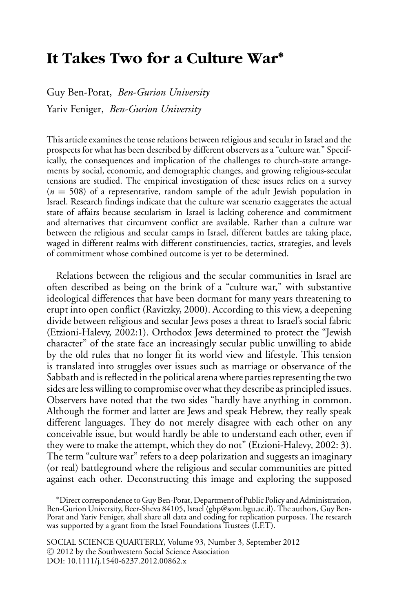# **It Takes Two for a Culture War<sup>∗</sup>**

Guy Ben-Porat, *Ben-Gurion University* Yariv Feniger, *Ben-Gurion University*

This article examines the tense relations between religious and secular in Israel and the prospects for what has been described by different observers as a "culture war." Specifically, the consequences and implication of the challenges to church-state arrangements by social, economic, and demographic changes, and growing religious-secular tensions are studied. The empirical investigation of these issues relies on a survey (*n* = 508) of a representative, random sample of the adult Jewish population in Israel. Research findings indicate that the culture war scenario exaggerates the actual state of affairs because secularism in Israel is lacking coherence and commitment and alternatives that circumvent conflict are available. Rather than a culture war between the religious and secular camps in Israel, different battles are taking place, waged in different realms with different constituencies, tactics, strategies, and levels of commitment whose combined outcome is yet to be determined.

Relations between the religious and the secular communities in Israel are often described as being on the brink of a "culture war," with substantive ideological differences that have been dormant for many years threatening to erupt into open conflict (Ravitzky, 2000). According to this view, a deepening divide between religious and secular Jews poses a threat to Israel's social fabric (Etzioni-Halevy, 2002:1). Orthodox Jews determined to protect the "Jewish character" of the state face an increasingly secular public unwilling to abide by the old rules that no longer fit its world view and lifestyle. This tension is translated into struggles over issues such as marriage or observance of the Sabbath and is reflected in the political arena where parties representing the two sides are less willing to compromise over what they describe as principled issues. Observers have noted that the two sides "hardly have anything in common. Although the former and latter are Jews and speak Hebrew, they really speak different languages. They do not merely disagree with each other on any conceivable issue, but would hardly be able to understand each other, even if they were to make the attempt, which they do not" (Etzioni-Halevy, 2002: 3). The term "culture war" refers to a deep polarization and suggests an imaginary (or real) battleground where the religious and secular communities are pitted against each other. Deconstructing this image and exploring the supposed

<sup>∗</sup>Direct correspondence to Guy Ben-Porat, Department of Public Policy and Administration, Ben-Gurion University, Beer-Sheva 84105, Israel (gbp@som.bgu.ac.il). The authors, Guy Ben-Porat and Yariv Feniger, shall share all data and coding for replication purposes. The research was supported by a grant from the Israel Foundations Trustees (I.F.T).

SOCIAL SCIENCE QUARTERLY, Volume 93, Number 3, September 2012 <sup>C</sup> 2012 by the Southwestern Social Science Association DOI: 10.1111/j.1540-6237.2012.00862.x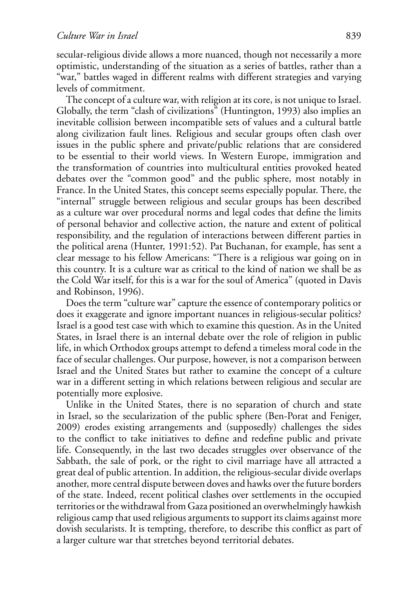secular-religious divide allows a more nuanced, though not necessarily a more optimistic, understanding of the situation as a series of battles, rather than a "war," battles waged in different realms with different strategies and varying levels of commitment.

The concept of a culture war, with religion at its core, is not unique to Israel. Globally, the term "clash of civilizations" (Huntington, 1993) also implies an inevitable collision between incompatible sets of values and a cultural battle along civilization fault lines. Religious and secular groups often clash over issues in the public sphere and private/public relations that are considered to be essential to their world views. In Western Europe, immigration and the transformation of countries into multicultural entities provoked heated debates over the "common good" and the public sphere, most notably in France. In the United States, this concept seems especially popular. There, the "internal" struggle between religious and secular groups has been described as a culture war over procedural norms and legal codes that define the limits of personal behavior and collective action, the nature and extent of political responsibility, and the regulation of interactions between different parties in the political arena (Hunter, 1991:52). Pat Buchanan, for example, has sent a clear message to his fellow Americans: "There is a religious war going on in this country. It is a culture war as critical to the kind of nation we shall be as the Cold War itself, for this is a war for the soul of America" (quoted in Davis and Robinson, 1996).

Does the term "culture war" capture the essence of contemporary politics or does it exaggerate and ignore important nuances in religious-secular politics? Israel is a good test case with which to examine this question. As in the United States, in Israel there is an internal debate over the role of religion in public life, in which Orthodox groups attempt to defend a timeless moral code in the face of secular challenges. Our purpose, however, is not a comparison between Israel and the United States but rather to examine the concept of a culture war in a different setting in which relations between religious and secular are potentially more explosive.

Unlike in the United States, there is no separation of church and state in Israel, so the secularization of the public sphere (Ben-Porat and Feniger, 2009) erodes existing arrangements and (supposedly) challenges the sides to the conflict to take initiatives to define and redefine public and private life. Consequently, in the last two decades struggles over observance of the Sabbath, the sale of pork, or the right to civil marriage have all attracted a great deal of public attention. In addition, the religious-secular divide overlaps another, more central dispute between doves and hawks over the future borders of the state. Indeed, recent political clashes over settlements in the occupied territories or the withdrawal from Gaza positioned an overwhelmingly hawkish religious camp that used religious arguments to support its claims against more dovish secularists. It is tempting, therefore, to describe this conflict as part of a larger culture war that stretches beyond territorial debates.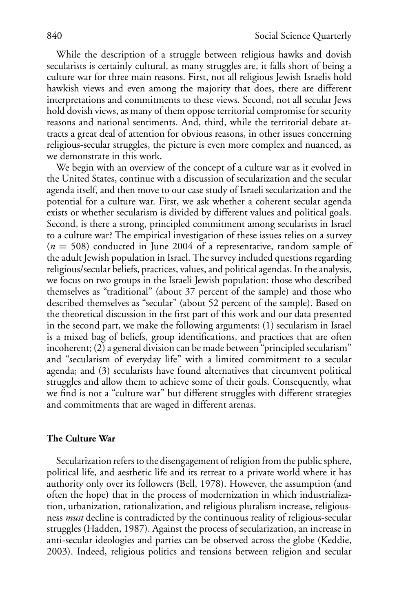While the description of a struggle between religious hawks and dovish secularists is certainly cultural, as many struggles are, it falls short of being a culture war for three main reasons. First, not all religious Jewish Israelis hold hawkish views and even among the majority that does, there are different interpretations and commitments to these views. Second, not all secular Jews hold dovish views, as many of them oppose territorial compromise for security reasons and national sentiments. And, third, while the territorial debate attracts a great deal of attention for obvious reasons, in other issues concerning religious-secular struggles, the picture is even more complex and nuanced, as we demonstrate in this work.

We begin with an overview of the concept of a culture war as it evolved in the United States, continue with a discussion of secularization and the secular agenda itself, and then move to our case study of Israeli secularization and the potential for a culture war. First, we ask whether a coherent secular agenda exists or whether secularism is divided by different values and political goals. Second, is there a strong, principled commitment among secularists in Israel to a culture war? The empirical investigation of these issues relies on a survey (*n* = 508) conducted in June 2004 of a representative, random sample of the adult Jewish population in Israel. The survey included questions regarding religious/secular beliefs, practices, values, and political agendas. In the analysis, we focus on two groups in the Israeli Jewish population: those who described themselves as "traditional" (about 37 percent of the sample) and those who described themselves as "secular" (about 52 percent of the sample). Based on the theoretical discussion in the first part of this work and our data presented in the second part, we make the following arguments: (1) secularism in Israel is a mixed bag of beliefs, group identifications, and practices that are often incoherent; (2) a general division can be made between "principled secularism" and "secularism of everyday life" with a limited commitment to a secular agenda; and (3) secularists have found alternatives that circumvent political struggles and allow them to achieve some of their goals. Consequently, what we find is not a "culture war" but different struggles with different strategies and commitments that are waged in different arenas.

#### **The Culture War**

Secularization refers to the disengagement of religion from the public sphere, political life, and aesthetic life and its retreat to a private world where it has authority only over its followers (Bell, 1978). However, the assumption (and often the hope) that in the process of modernization in which industrialization, urbanization, rationalization, and religious pluralism increase, religiousness *must* decline is contradicted by the continuous reality of religious-secular struggles (Hadden, 1987). Against the process of secularization, an increase in anti-secular ideologies and parties can be observed across the globe (Keddie, 2003). Indeed, religious politics and tensions between religion and secular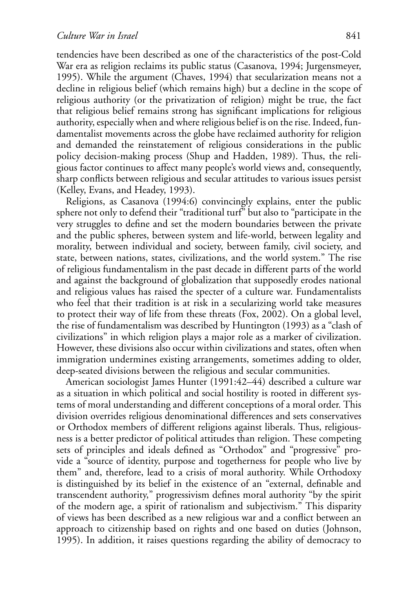tendencies have been described as one of the characteristics of the post-Cold War era as religion reclaims its public status (Casanova, 1994; Jurgensmeyer, 1995). While the argument (Chaves, 1994) that secularization means not a decline in religious belief (which remains high) but a decline in the scope of religious authority (or the privatization of religion) might be true, the fact that religious belief remains strong has significant implications for religious authority, especially when and where religious belief is on the rise. Indeed, fundamentalist movements across the globe have reclaimed authority for religion and demanded the reinstatement of religious considerations in the public policy decision-making process (Shup and Hadden, 1989). Thus, the religious factor continues to affect many people's world views and, consequently, sharp conflicts between religious and secular attitudes to various issues persist (Kelley, Evans, and Headey, 1993).

Religions, as Casanova (1994:6) convincingly explains, enter the public sphere not only to defend their "traditional turf" but also to "participate in the very struggles to define and set the modern boundaries between the private and the public spheres, between system and life-world, between legality and morality, between individual and society, between family, civil society, and state, between nations, states, civilizations, and the world system." The rise of religious fundamentalism in the past decade in different parts of the world and against the background of globalization that supposedly erodes national and religious values has raised the specter of a culture war. Fundamentalists who feel that their tradition is at risk in a secularizing world take measures to protect their way of life from these threats (Fox, 2002). On a global level, the rise of fundamentalism was described by Huntington (1993) as a "clash of civilizations" in which religion plays a major role as a marker of civilization. However, these divisions also occur within civilizations and states, often when immigration undermines existing arrangements, sometimes adding to older, deep-seated divisions between the religious and secular communities.

American sociologist James Hunter (1991:42–44) described a culture war as a situation in which political and social hostility is rooted in different systems of moral understanding and different conceptions of a moral order. This division overrides religious denominational differences and sets conservatives or Orthodox members of different religions against liberals. Thus, religiousness is a better predictor of political attitudes than religion. These competing sets of principles and ideals defined as "Orthodox" and "progressive" provide a "source of identity, purpose and togetherness for people who live by them" and, therefore, lead to a crisis of moral authority. While Orthodoxy is distinguished by its belief in the existence of an "external, definable and transcendent authority," progressivism defines moral authority "by the spirit of the modern age, a spirit of rationalism and subjectivism." This disparity of views has been described as a new religious war and a conflict between an approach to citizenship based on rights and one based on duties (Johnson, 1995). In addition, it raises questions regarding the ability of democracy to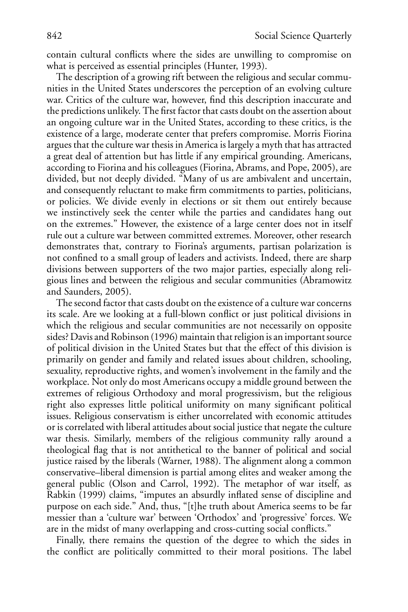contain cultural conflicts where the sides are unwilling to compromise on what is perceived as essential principles (Hunter, 1993).

The description of a growing rift between the religious and secular communities in the United States underscores the perception of an evolving culture war. Critics of the culture war, however, find this description inaccurate and the predictions unlikely. The first factor that casts doubt on the assertion about an ongoing culture war in the United States, according to these critics, is the existence of a large, moderate center that prefers compromise. Morris Fiorina argues that the culture war thesis in America is largely a myth that has attracted a great deal of attention but has little if any empirical grounding. Americans, according to Fiorina and his colleagues (Fiorina, Abrams, and Pope, 2005), are divided, but not deeply divided. "Many of us are ambivalent and uncertain, and consequently reluctant to make firm commitments to parties, politicians, or policies. We divide evenly in elections or sit them out entirely because we instinctively seek the center while the parties and candidates hang out on the extremes." However, the existence of a large center does not in itself rule out a culture war between committed extremes. Moreover, other research demonstrates that, contrary to Fiorina's arguments, partisan polarization is not confined to a small group of leaders and activists. Indeed, there are sharp divisions between supporters of the two major parties, especially along religious lines and between the religious and secular communities (Abramowitz and Saunders, 2005).

The second factor that casts doubt on the existence of a culture war concerns its scale. Are we looking at a full-blown conflict or just political divisions in which the religious and secular communities are not necessarily on opposite sides? Davis and Robinson (1996) maintain that religion is an important source of political division in the United States but that the effect of this division is primarily on gender and family and related issues about children, schooling, sexuality, reproductive rights, and women's involvement in the family and the workplace. Not only do most Americans occupy a middle ground between the extremes of religious Orthodoxy and moral progressivism, but the religious right also expresses little political uniformity on many significant political issues. Religious conservatism is either uncorrelated with economic attitudes or is correlated with liberal attitudes about social justice that negate the culture war thesis. Similarly, members of the religious community rally around a theological flag that is not antithetical to the banner of political and social justice raised by the liberals (Warner, 1988). The alignment along a common conservative–liberal dimension is partial among elites and weaker among the general public (Olson and Carrol, 1992). The metaphor of war itself, as Rabkin (1999) claims, "imputes an absurdly inflated sense of discipline and purpose on each side." And, thus, "[t]he truth about America seems to be far messier than a 'culture war' between 'Orthodox' and 'progressive' forces. We are in the midst of many overlapping and cross-cutting social conflicts."

Finally, there remains the question of the degree to which the sides in the conflict are politically committed to their moral positions. The label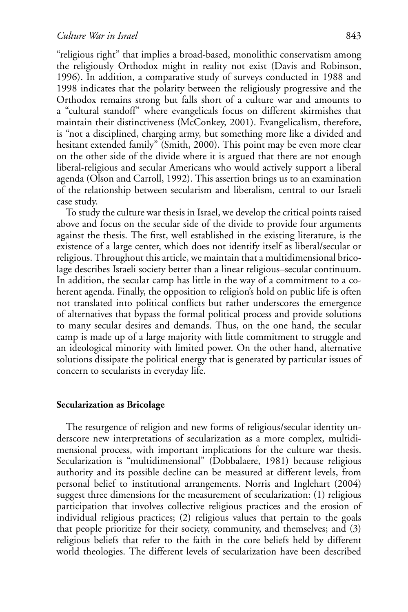"religious right" that implies a broad-based, monolithic conservatism among the religiously Orthodox might in reality not exist (Davis and Robinson, 1996). In addition, a comparative study of surveys conducted in 1988 and 1998 indicates that the polarity between the religiously progressive and the Orthodox remains strong but falls short of a culture war and amounts to a "cultural standoff" where evangelicals focus on different skirmishes that maintain their distinctiveness (McConkey, 2001). Evangelicalism, therefore, is "not a disciplined, charging army, but something more like a divided and hesitant extended family" (Smith, 2000). This point may be even more clear on the other side of the divide where it is argued that there are not enough liberal-religious and secular Americans who would actively support a liberal agenda (Olson and Carroll, 1992). This assertion brings us to an examination of the relationship between secularism and liberalism, central to our Israeli case study.

To study the culture war thesis in Israel, we develop the critical points raised above and focus on the secular side of the divide to provide four arguments against the thesis. The first, well established in the existing literature, is the existence of a large center, which does not identify itself as liberal/secular or religious. Throughout this article, we maintain that a multidimensional bricolage describes Israeli society better than a linear religious–secular continuum. In addition, the secular camp has little in the way of a commitment to a coherent agenda. Finally, the opposition to religion's hold on public life is often not translated into political conflicts but rather underscores the emergence of alternatives that bypass the formal political process and provide solutions to many secular desires and demands. Thus, on the one hand, the secular camp is made up of a large majority with little commitment to struggle and an ideological minority with limited power. On the other hand, alternative solutions dissipate the political energy that is generated by particular issues of concern to secularists in everyday life.

#### **Secularization as Bricolage**

The resurgence of religion and new forms of religious/secular identity underscore new interpretations of secularization as a more complex, multidimensional process, with important implications for the culture war thesis. Secularization is "multidimensional" (Dobbalaere, 1981) because religious authority and its possible decline can be measured at different levels, from personal belief to institutional arrangements. Norris and Inglehart (2004) suggest three dimensions for the measurement of secularization: (1) religious participation that involves collective religious practices and the erosion of individual religious practices; (2) religious values that pertain to the goals that people prioritize for their society, community, and themselves; and (3) religious beliefs that refer to the faith in the core beliefs held by different world theologies. The different levels of secularization have been described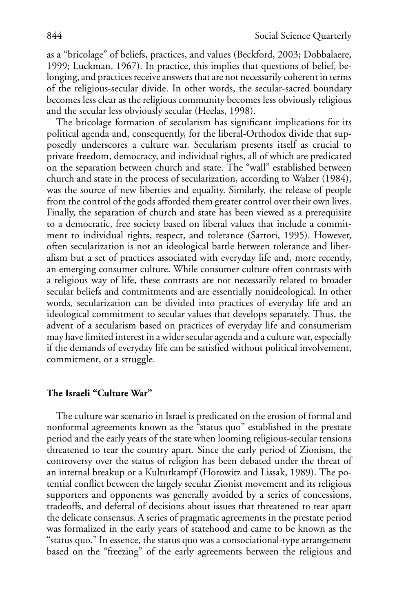as a "bricolage" of beliefs, practices, and values (Beckford, 2003; Dobbalaere, 1999; Luckman, 1967). In practice, this implies that questions of belief, belonging, and practices receive answers that are not necessarily coherent in terms of the religious-secular divide. In other words, the secular-sacred boundary becomes less clear as the religious community becomes less obviously religious and the secular less obviously secular (Heelas, 1998).

The bricolage formation of secularism has significant implications for its political agenda and, consequently, for the liberal-Orthodox divide that supposedly underscores a culture war. Secularism presents itself as crucial to private freedom, democracy, and individual rights, all of which are predicated on the separation between church and state. The "wall" established between church and state in the process of secularization, according to Walzer (1984), was the source of new liberties and equality. Similarly, the release of people from the control of the gods afforded them greater control over their own lives. Finally, the separation of church and state has been viewed as a prerequisite to a democratic, free society based on liberal values that include a commitment to individual rights, respect, and tolerance (Sartori, 1995). However, often secularization is not an ideological battle between tolerance and liberalism but a set of practices associated with everyday life and, more recently, an emerging consumer culture. While consumer culture often contrasts with a religious way of life, these contrasts are not necessarily related to broader secular beliefs and commitments and are essentially nonideological. In other words, secularization can be divided into practices of everyday life and an ideological commitment to secular values that develops separately. Thus, the advent of a secularism based on practices of everyday life and consumerism may have limited interest in a wider secular agenda and a culture war, especially if the demands of everyday life can be satisfied without political involvement, commitment, or a struggle.

### **The Israeli "Culture War"**

The culture war scenario in Israel is predicated on the erosion of formal and nonformal agreements known as the "status quo" established in the prestate period and the early years of the state when looming religious-secular tensions threatened to tear the country apart. Since the early period of Zionism, the controversy over the status of religion has been debated under the threat of an internal breakup or a Kulturkampf (Horowitz and Lissak, 1989). The potential conflict between the largely secular Zionist movement and its religious supporters and opponents was generally avoided by a series of concessions, tradeoffs, and deferral of decisions about issues that threatened to tear apart the delicate consensus. A series of pragmatic agreements in the prestate period was formalized in the early years of statehood and came to be known as the "status quo." In essence, the status quo was a consociational-type arrangement based on the "freezing" of the early agreements between the religious and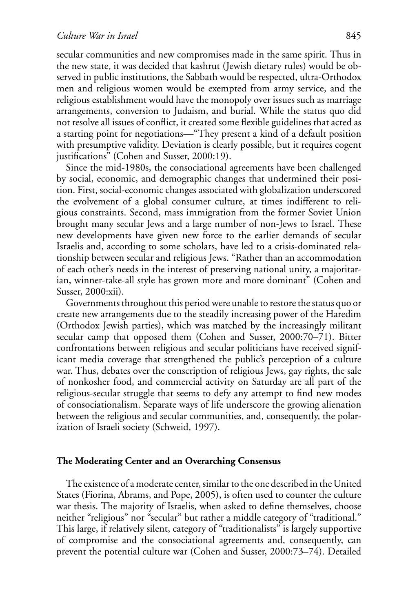secular communities and new compromises made in the same spirit. Thus in the new state, it was decided that kashrut (Jewish dietary rules) would be observed in public institutions, the Sabbath would be respected, ultra-Orthodox men and religious women would be exempted from army service, and the religious establishment would have the monopoly over issues such as marriage arrangements, conversion to Judaism, and burial. While the status quo did not resolve all issues of conflict, it created some flexible guidelines that acted as a starting point for negotiations—"They present a kind of a default position with presumptive validity. Deviation is clearly possible, but it requires cogent justifications" (Cohen and Susser, 2000:19).

Since the mid-1980s, the consociational agreements have been challenged by social, economic, and demographic changes that undermined their position. First, social-economic changes associated with globalization underscored the evolvement of a global consumer culture, at times indifferent to religious constraints. Second, mass immigration from the former Soviet Union brought many secular Jews and a large number of non-Jews to Israel. These new developments have given new force to the earlier demands of secular Israelis and, according to some scholars, have led to a crisis-dominated relationship between secular and religious Jews. "Rather than an accommodation of each other's needs in the interest of preserving national unity, a majoritarian, winner-take-all style has grown more and more dominant" (Cohen and Susser, 2000:xii).

Governments throughout this period were unable to restore the status quo or create new arrangements due to the steadily increasing power of the Haredim (Orthodox Jewish parties), which was matched by the increasingly militant secular camp that opposed them (Cohen and Susser, 2000:70–71). Bitter confrontations between religious and secular politicians have received significant media coverage that strengthened the public's perception of a culture war. Thus, debates over the conscription of religious Jews, gay rights, the sale of nonkosher food, and commercial activity on Saturday are all part of the religious-secular struggle that seems to defy any attempt to find new modes of consociationalism. Separate ways of life underscore the growing alienation between the religious and secular communities, and, consequently, the polarization of Israeli society (Schweid, 1997).

#### **The Moderating Center and an Overarching Consensus**

The existence of a moderate center, similar to the one described in the United States (Fiorina, Abrams, and Pope, 2005), is often used to counter the culture war thesis. The majority of Israelis, when asked to define themselves, choose neither "religious" nor "secular" but rather a middle category of "traditional." This large, if relatively silent, category of "traditionalists" is largely supportive of compromise and the consociational agreements and, consequently, can prevent the potential culture war (Cohen and Susser, 2000:73–74). Detailed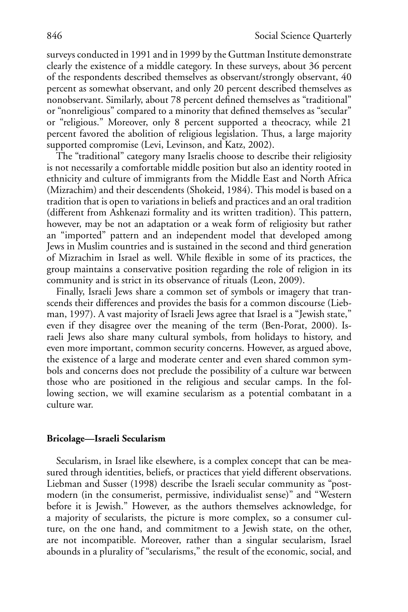surveys conducted in 1991 and in 1999 by the Guttman Institute demonstrate clearly the existence of a middle category. In these surveys, about 36 percent of the respondents described themselves as observant/strongly observant, 40 percent as somewhat observant, and only 20 percent described themselves as nonobservant. Similarly, about 78 percent defined themselves as "traditional" or "nonreligious" compared to a minority that defined themselves as "secular" or "religious." Moreover, only 8 percent supported a theocracy, while 21 percent favored the abolition of religious legislation. Thus, a large majority supported compromise (Levi, Levinson, and Katz, 2002).

The "traditional" category many Israelis choose to describe their religiosity is not necessarily a comfortable middle position but also an identity rooted in ethnicity and culture of immigrants from the Middle East and North Africa (Mizrachim) and their descendents (Shokeid, 1984). This model is based on a tradition that is open to variations in beliefs and practices and an oral tradition (different from Ashkenazi formality and its written tradition). This pattern, however, may be not an adaptation or a weak form of religiosity but rather an "imported" pattern and an independent model that developed among Jews in Muslim countries and is sustained in the second and third generation of Mizrachim in Israel as well. While flexible in some of its practices, the group maintains a conservative position regarding the role of religion in its community and is strict in its observance of rituals (Leon, 2009).

Finally, Israeli Jews share a common set of symbols or imagery that transcends their differences and provides the basis for a common discourse (Liebman, 1997). A vast majority of Israeli Jews agree that Israel is a "Jewish state," even if they disagree over the meaning of the term (Ben-Porat, 2000). Israeli Jews also share many cultural symbols, from holidays to history, and even more important, common security concerns. However, as argued above, the existence of a large and moderate center and even shared common symbols and concerns does not preclude the possibility of a culture war between those who are positioned in the religious and secular camps. In the following section, we will examine secularism as a potential combatant in a culture war.

#### **Bricolage—Israeli Secularism**

Secularism, in Israel like elsewhere, is a complex concept that can be measured through identities, beliefs, or practices that yield different observations. Liebman and Susser (1998) describe the Israeli secular community as "postmodern (in the consumerist, permissive, individualist sense)" and "Western before it is Jewish." However, as the authors themselves acknowledge, for a majority of secularists, the picture is more complex, so a consumer culture, on the one hand, and commitment to a Jewish state, on the other, are not incompatible. Moreover, rather than a singular secularism, Israel abounds in a plurality of "secularisms," the result of the economic, social, and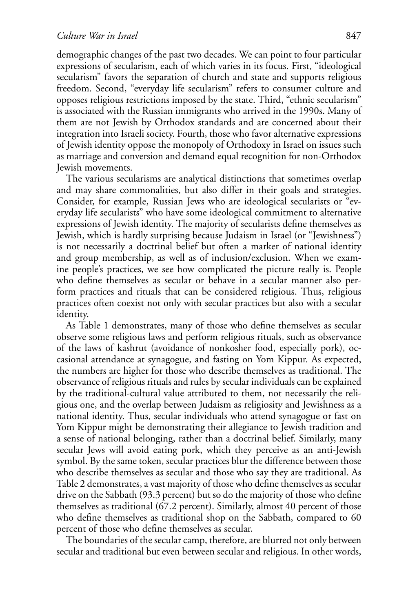demographic changes of the past two decades. We can point to four particular expressions of secularism, each of which varies in its focus. First, "ideological secularism" favors the separation of church and state and supports religious freedom. Second, "everyday life secularism" refers to consumer culture and opposes religious restrictions imposed by the state. Third, "ethnic secularism" is associated with the Russian immigrants who arrived in the 1990s. Many of them are not Jewish by Orthodox standards and are concerned about their integration into Israeli society. Fourth, those who favor alternative expressions of Jewish identity oppose the monopoly of Orthodoxy in Israel on issues such as marriage and conversion and demand equal recognition for non-Orthodox Jewish movements.

The various secularisms are analytical distinctions that sometimes overlap and may share commonalities, but also differ in their goals and strategies. Consider, for example, Russian Jews who are ideological secularists or "everyday life secularists" who have some ideological commitment to alternative expressions of Jewish identity. The majority of secularists define themselves as Jewish, which is hardly surprising because Judaism in Israel (or "Jewishness") is not necessarily a doctrinal belief but often a marker of national identity and group membership, as well as of inclusion/exclusion. When we examine people's practices, we see how complicated the picture really is. People who define themselves as secular or behave in a secular manner also perform practices and rituals that can be considered religious. Thus, religious practices often coexist not only with secular practices but also with a secular identity.

As Table 1 demonstrates, many of those who define themselves as secular observe some religious laws and perform religious rituals, such as observance of the laws of kashrut (avoidance of nonkosher food, especially pork), occasional attendance at synagogue, and fasting on Yom Kippur. As expected, the numbers are higher for those who describe themselves as traditional. The observance of religious rituals and rules by secular individuals can be explained by the traditional-cultural value attributed to them, not necessarily the religious one, and the overlap between Judaism as religiosity and Jewishness as a national identity. Thus, secular individuals who attend synagogue or fast on Yom Kippur might be demonstrating their allegiance to Jewish tradition and a sense of national belonging, rather than a doctrinal belief. Similarly, many secular Jews will avoid eating pork, which they perceive as an anti-Jewish symbol. By the same token, secular practices blur the difference between those who describe themselves as secular and those who say they are traditional. As Table 2 demonstrates, a vast majority of those who define themselves as secular drive on the Sabbath (93.3 percent) but so do the majority of those who define themselves as traditional (67.2 percent). Similarly, almost 40 percent of those who define themselves as traditional shop on the Sabbath, compared to 60 percent of those who define themselves as secular.

The boundaries of the secular camp, therefore, are blurred not only between secular and traditional but even between secular and religious. In other words,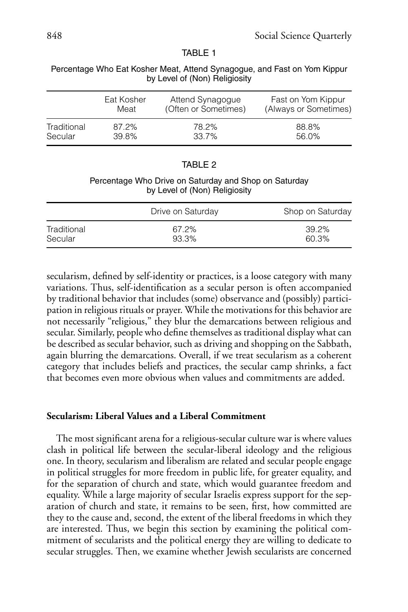#### TABLE 1

|             | Eat Kosher | Attend Synagogue     | Fast on Yom Kippur    |
|-------------|------------|----------------------|-----------------------|
|             | Meat       | (Often or Sometimes) | (Always or Sometimes) |
| Traditional | 87.2%      | 78.2%                | 88.8%                 |
| Secular     | 39.8%      | 33.7%                | 56.0%                 |
|             |            | TABLE 2              |                       |

#### Percentage Who Eat Kosher Meat, Attend Synagogue, and Fast on Yom Kippur by Level of (Non) Religiosity

### Percentage Who Drive on Saturday and Shop on Saturday by Level of (Non) Religiosity

|             | Drive on Saturday | Shop on Saturday |  |
|-------------|-------------------|------------------|--|
| Traditional | 67.2%             | 39.2%            |  |
| Secular     | 93.3%             | 60.3%            |  |

secularism, defined by self-identity or practices, is a loose category with many variations. Thus, self-identification as a secular person is often accompanied by traditional behavior that includes (some) observance and (possibly) participation in religious rituals or prayer. While the motivations for this behavior are not necessarily "religious," they blur the demarcations between religious and secular. Similarly, people who define themselves as traditional display what can be described as secular behavior, such as driving and shopping on the Sabbath, again blurring the demarcations. Overall, if we treat secularism as a coherent category that includes beliefs and practices, the secular camp shrinks, a fact that becomes even more obvious when values and commitments are added.

## **Secularism: Liberal Values and a Liberal Commitment**

The most significant arena for a religious-secular culture war is where values clash in political life between the secular-liberal ideology and the religious one. In theory, secularism and liberalism are related and secular people engage in political struggles for more freedom in public life, for greater equality, and for the separation of church and state, which would guarantee freedom and equality. While a large majority of secular Israelis express support for the separation of church and state, it remains to be seen, first, how committed are they to the cause and, second, the extent of the liberal freedoms in which they are interested. Thus, we begin this section by examining the political commitment of secularists and the political energy they are willing to dedicate to secular struggles. Then, we examine whether Jewish secularists are concerned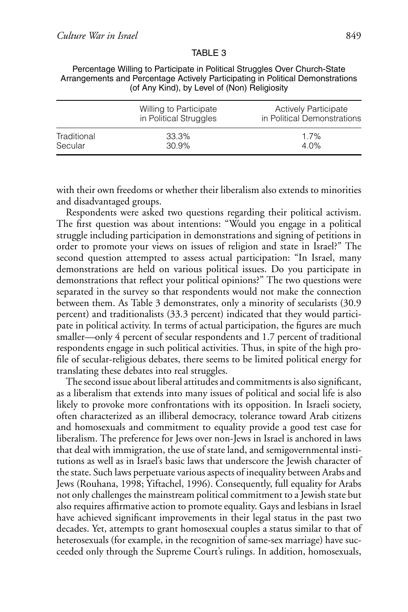|             | Willing to Participate<br>in Political Struggles | <b>Actively Participate</b><br>in Political Demonstrations |
|-------------|--------------------------------------------------|------------------------------------------------------------|
| Traditional | 33.3%                                            | $1.7\%$                                                    |
| Secular     | 30.9%                                            | 4.0%                                                       |

| Percentage Willing to Participate in Political Struggles Over Church-State     |
|--------------------------------------------------------------------------------|
| Arrangements and Percentage Actively Participating in Political Demonstrations |
| (of Any Kind), by Level of (Non) Religiosity                                   |

with their own freedoms or whether their liberalism also extends to minorities and disadvantaged groups.

Respondents were asked two questions regarding their political activism. The first question was about intentions: "Would you engage in a political struggle including participation in demonstrations and signing of petitions in order to promote your views on issues of religion and state in Israel?" The second question attempted to assess actual participation: "In Israel, many demonstrations are held on various political issues. Do you participate in demonstrations that reflect your political opinions?" The two questions were separated in the survey so that respondents would not make the connection between them. As Table 3 demonstrates, only a minority of secularists (30.9 percent) and traditionalists (33.3 percent) indicated that they would participate in political activity. In terms of actual participation, the figures are much smaller—only 4 percent of secular respondents and 1.7 percent of traditional respondents engage in such political activities. Thus, in spite of the high profile of secular-religious debates, there seems to be limited political energy for translating these debates into real struggles.

The second issue about liberal attitudes and commitments is also significant, as a liberalism that extends into many issues of political and social life is also likely to provoke more confrontations with its opposition. In Israeli society, often characterized as an illiberal democracy, tolerance toward Arab citizens and homosexuals and commitment to equality provide a good test case for liberalism. The preference for Jews over non-Jews in Israel is anchored in laws that deal with immigration, the use of state land, and semigovernmental institutions as well as in Israel's basic laws that underscore the Jewish character of the state. Such laws perpetuate various aspects of inequality between Arabs and Jews (Rouhana, 1998; Yiftachel, 1996). Consequently, full equality for Arabs not only challenges the mainstream political commitment to a Jewish state but also requires affirmative action to promote equality. Gays and lesbians in Israel have achieved significant improvements in their legal status in the past two decades. Yet, attempts to grant homosexual couples a status similar to that of heterosexuals (for example, in the recognition of same-sex marriage) have succeeded only through the Supreme Court's rulings. In addition, homosexuals,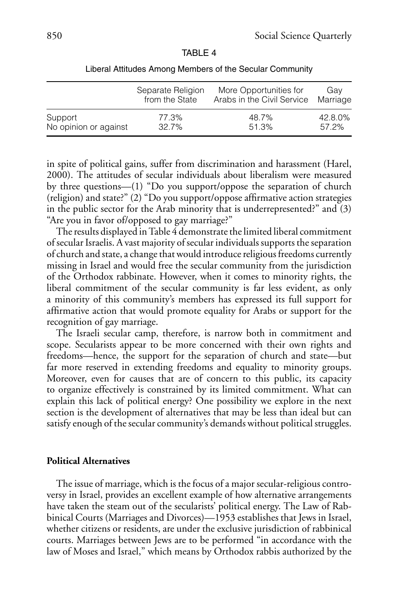|                       | Separate Religion | More Opportunities for     | Gav      |
|-----------------------|-------------------|----------------------------|----------|
|                       | from the State    | Arabs in the Civil Service | Marriage |
| Support               | 77.3%             | 48.7%                      | 42.8.0%  |
| No opinion or against | 32.7%             | 51.3%                      | 57.2%    |

Liberal Attitudes Among Members of the Secular Community

in spite of political gains, suffer from discrimination and harassment (Harel, 2000). The attitudes of secular individuals about liberalism were measured by three questions—(1) "Do you support/oppose the separation of church (religion) and state?" (2) "Do you support/oppose affirmative action strategies in the public sector for the Arab minority that is underrepresented?" and (3) "Are you in favor of/opposed to gay marriage?"

The results displayed in Table 4 demonstrate the limited liberal commitment of secular Israelis. A vast majority of secular individuals supports the separation of church and state, a change that would introduce religious freedoms currently missing in Israel and would free the secular community from the jurisdiction of the Orthodox rabbinate. However, when it comes to minority rights, the liberal commitment of the secular community is far less evident, as only a minority of this community's members has expressed its full support for affirmative action that would promote equality for Arabs or support for the recognition of gay marriage.

The Israeli secular camp, therefore, is narrow both in commitment and scope. Secularists appear to be more concerned with their own rights and freedoms—hence, the support for the separation of church and state—but far more reserved in extending freedoms and equality to minority groups. Moreover, even for causes that are of concern to this public, its capacity to organize effectively is constrained by its limited commitment. What can explain this lack of political energy? One possibility we explore in the next section is the development of alternatives that may be less than ideal but can satisfy enough of the secular community's demands without political struggles.

#### **Political Alternatives**

The issue of marriage, which is the focus of a major secular-religious controversy in Israel, provides an excellent example of how alternative arrangements have taken the steam out of the secularists' political energy. The Law of Rabbinical Courts (Marriages and Divorces)—1953 establishes that Jews in Israel, whether citizens or residents, are under the exclusive jurisdiction of rabbinical courts. Marriages between Jews are to be performed "in accordance with the law of Moses and Israel," which means by Orthodox rabbis authorized by the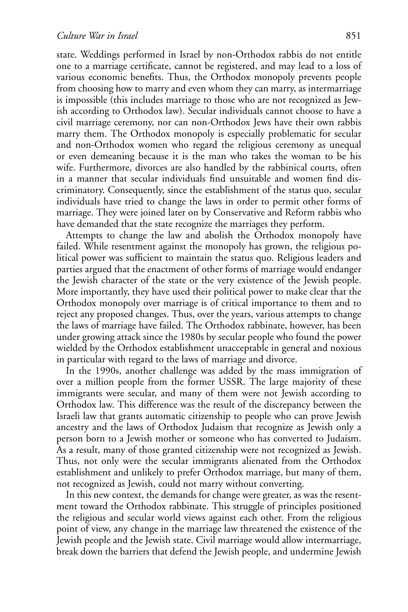state. Weddings performed in Israel by non-Orthodox rabbis do not entitle one to a marriage certificate, cannot be registered, and may lead to a loss of various economic benefits. Thus, the Orthodox monopoly prevents people from choosing how to marry and even whom they can marry, as intermarriage is impossible (this includes marriage to those who are not recognized as Jewish according to Orthodox law). Secular individuals cannot choose to have a civil marriage ceremony, nor can non-Orthodox Jews have their own rabbis marry them. The Orthodox monopoly is especially problematic for secular and non-Orthodox women who regard the religious ceremony as unequal or even demeaning because it is the man who takes the woman to be his wife. Furthermore, divorces are also handled by the rabbinical courts, often in a manner that secular individuals find unsuitable and women find discriminatory. Consequently, since the establishment of the status quo, secular individuals have tried to change the laws in order to permit other forms of marriage. They were joined later on by Conservative and Reform rabbis who have demanded that the state recognize the marriages they perform.

Attempts to change the law and abolish the Orthodox monopoly have failed. While resentment against the monopoly has grown, the religious political power was sufficient to maintain the status quo. Religious leaders and parties argued that the enactment of other forms of marriage would endanger the Jewish character of the state or the very existence of the Jewish people. More importantly, they have used their political power to make clear that the Orthodox monopoly over marriage is of critical importance to them and to reject any proposed changes. Thus, over the years, various attempts to change the laws of marriage have failed. The Orthodox rabbinate, however, has been under growing attack since the 1980s by secular people who found the power wielded by the Orthodox establishment unacceptable in general and noxious in particular with regard to the laws of marriage and divorce.

In the 1990s, another challenge was added by the mass immigration of over a million people from the former USSR. The large majority of these immigrants were secular, and many of them were not Jewish according to Orthodox law. This difference was the result of the discrepancy between the Israeli law that grants automatic citizenship to people who can prove Jewish ancestry and the laws of Orthodox Judaism that recognize as Jewish only a person born to a Jewish mother or someone who has converted to Judaism. As a result, many of those granted citizenship were not recognized as Jewish. Thus, not only were the secular immigrants alienated from the Orthodox establishment and unlikely to prefer Orthodox marriage, but many of them, not recognized as Jewish, could not marry without converting.

In this new context, the demands for change were greater, as was the resentment toward the Orthodox rabbinate. This struggle of principles positioned the religious and secular world views against each other. From the religious point of view, any change in the marriage law threatened the existence of the Jewish people and the Jewish state. Civil marriage would allow intermarriage, break down the barriers that defend the Jewish people, and undermine Jewish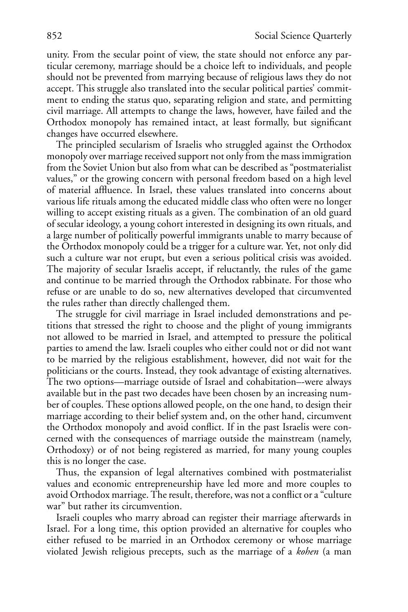unity. From the secular point of view, the state should not enforce any particular ceremony, marriage should be a choice left to individuals, and people should not be prevented from marrying because of religious laws they do not accept. This struggle also translated into the secular political parties' commitment to ending the status quo, separating religion and state, and permitting civil marriage. All attempts to change the laws, however, have failed and the Orthodox monopoly has remained intact, at least formally, but significant changes have occurred elsewhere.

The principled secularism of Israelis who struggled against the Orthodox monopoly over marriage received support not only from the mass immigration from the Soviet Union but also from what can be described as "postmaterialist values," or the growing concern with personal freedom based on a high level of material affluence. In Israel, these values translated into concerns about various life rituals among the educated middle class who often were no longer willing to accept existing rituals as a given. The combination of an old guard of secular ideology, a young cohort interested in designing its own rituals, and a large number of politically powerful immigrants unable to marry because of the Orthodox monopoly could be a trigger for a culture war. Yet, not only did such a culture war not erupt, but even a serious political crisis was avoided. The majority of secular Israelis accept, if reluctantly, the rules of the game and continue to be married through the Orthodox rabbinate. For those who refuse or are unable to do so, new alternatives developed that circumvented the rules rather than directly challenged them.

The struggle for civil marriage in Israel included demonstrations and petitions that stressed the right to choose and the plight of young immigrants not allowed to be married in Israel, and attempted to pressure the political parties to amend the law. Israeli couples who either could not or did not want to be married by the religious establishment, however, did not wait for the politicians or the courts. Instead, they took advantage of existing alternatives. The two options—marriage outside of Israel and cohabitation–-were always available but in the past two decades have been chosen by an increasing number of couples. These options allowed people, on the one hand, to design their marriage according to their belief system and, on the other hand, circumvent the Orthodox monopoly and avoid conflict. If in the past Israelis were concerned with the consequences of marriage outside the mainstream (namely, Orthodoxy) or of not being registered as married, for many young couples this is no longer the case.

Thus, the expansion of legal alternatives combined with postmaterialist values and economic entrepreneurship have led more and more couples to avoid Orthodox marriage. The result, therefore, was not a conflict or a "culture war" but rather its circumvention.

Israeli couples who marry abroad can register their marriage afterwards in Israel. For a long time, this option provided an alternative for couples who either refused to be married in an Orthodox ceremony or whose marriage violated Jewish religious precepts, such as the marriage of a *kohen* (a man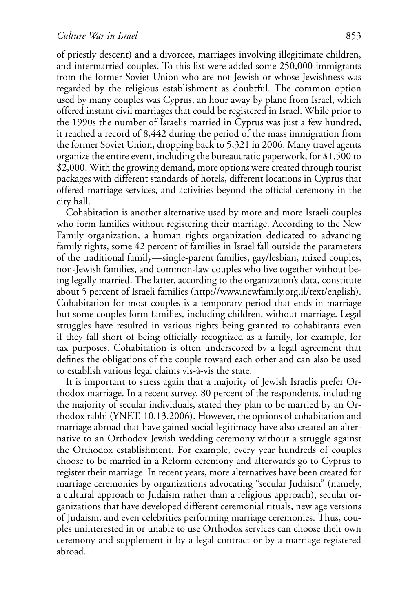of priestly descent) and a divorcee, marriages involving illegitimate children, and intermarried couples. To this list were added some 250,000 immigrants from the former Soviet Union who are not Jewish or whose Jewishness was regarded by the religious establishment as doubtful. The common option used by many couples was Cyprus, an hour away by plane from Israel, which offered instant civil marriages that could be registered in Israel. While prior to the 1990s the number of Israelis married in Cyprus was just a few hundred, it reached a record of 8,442 during the period of the mass immigration from the former Soviet Union, dropping back to 5,321 in 2006. Many travel agents organize the entire event, including the bureaucratic paperwork, for \$1,500 to \$2,000. With the growing demand, more options were created through tourist packages with different standards of hotels, different locations in Cyprus that offered marriage services, and activities beyond the official ceremony in the city hall.

Cohabitation is another alternative used by more and more Israeli couples who form families without registering their marriage. According to the New Family organization, a human rights organization dedicated to advancing family rights, some 42 percent of families in Israel fall outside the parameters of the traditional family—single-parent families, gay/lesbian, mixed couples, non-Jewish families, and common-law couples who live together without being legally married. The latter, according to the organization's data, constitute about 5 percent of Israeli families (http://www.newfamily.org.il/text/english). Cohabitation for most couples is a temporary period that ends in marriage but some couples form families, including children, without marriage. Legal struggles have resulted in various rights being granted to cohabitants even if they fall short of being officially recognized as a family, for example, for tax purposes. Cohabitation is often underscored by a legal agreement that defines the obligations of the couple toward each other and can also be used to establish various legal claims vis-à-vis the state.

It is important to stress again that a majority of Jewish Israelis prefer Orthodox marriage. In a recent survey, 80 percent of the respondents, including the majority of secular individuals, stated they plan to be married by an Orthodox rabbi (YNET, 10.13.2006). However, the options of cohabitation and marriage abroad that have gained social legitimacy have also created an alternative to an Orthodox Jewish wedding ceremony without a struggle against the Orthodox establishment. For example, every year hundreds of couples choose to be married in a Reform ceremony and afterwards go to Cyprus to register their marriage. In recent years, more alternatives have been created for marriage ceremonies by organizations advocating "secular Judaism" (namely, a cultural approach to Judaism rather than a religious approach), secular organizations that have developed different ceremonial rituals, new age versions of Judaism, and even celebrities performing marriage ceremonies. Thus, couples uninterested in or unable to use Orthodox services can choose their own ceremony and supplement it by a legal contract or by a marriage registered abroad.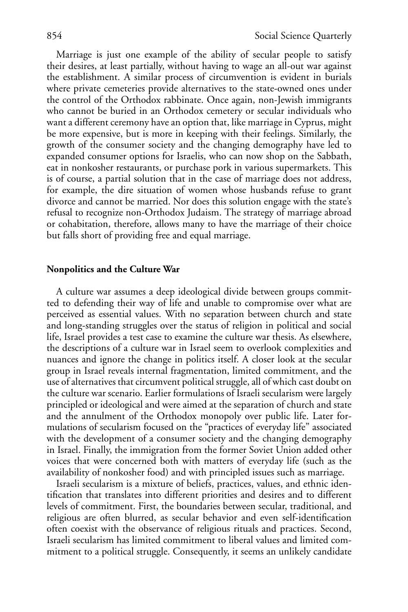Marriage is just one example of the ability of secular people to satisfy their desires, at least partially, without having to wage an all-out war against the establishment. A similar process of circumvention is evident in burials where private cemeteries provide alternatives to the state-owned ones under the control of the Orthodox rabbinate. Once again, non-Jewish immigrants who cannot be buried in an Orthodox cemetery or secular individuals who want a different ceremony have an option that, like marriage in Cyprus, might be more expensive, but is more in keeping with their feelings. Similarly, the growth of the consumer society and the changing demography have led to expanded consumer options for Israelis, who can now shop on the Sabbath, eat in nonkosher restaurants, or purchase pork in various supermarkets. This is of course, a partial solution that in the case of marriage does not address, for example, the dire situation of women whose husbands refuse to grant divorce and cannot be married. Nor does this solution engage with the state's refusal to recognize non-Orthodox Judaism. The strategy of marriage abroad or cohabitation, therefore, allows many to have the marriage of their choice but falls short of providing free and equal marriage.

#### **Nonpolitics and the Culture War**

A culture war assumes a deep ideological divide between groups committed to defending their way of life and unable to compromise over what are perceived as essential values. With no separation between church and state and long-standing struggles over the status of religion in political and social life, Israel provides a test case to examine the culture war thesis. As elsewhere, the descriptions of a culture war in Israel seem to overlook complexities and nuances and ignore the change in politics itself. A closer look at the secular group in Israel reveals internal fragmentation, limited commitment, and the use of alternatives that circumvent political struggle, all of which cast doubt on the culture war scenario. Earlier formulations of Israeli secularism were largely principled or ideological and were aimed at the separation of church and state and the annulment of the Orthodox monopoly over public life. Later formulations of secularism focused on the "practices of everyday life" associated with the development of a consumer society and the changing demography in Israel. Finally, the immigration from the former Soviet Union added other voices that were concerned both with matters of everyday life (such as the availability of nonkosher food) and with principled issues such as marriage.

Israeli secularism is a mixture of beliefs, practices, values, and ethnic identification that translates into different priorities and desires and to different levels of commitment. First, the boundaries between secular, traditional, and religious are often blurred, as secular behavior and even self-identification often coexist with the observance of religious rituals and practices. Second, Israeli secularism has limited commitment to liberal values and limited commitment to a political struggle. Consequently, it seems an unlikely candidate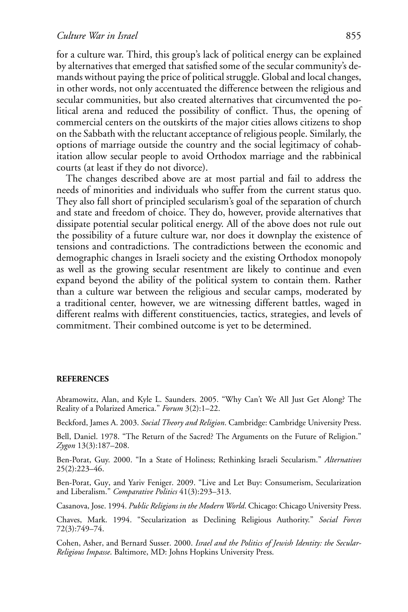for a culture war. Third, this group's lack of political energy can be explained by alternatives that emerged that satisfied some of the secular community's demands without paying the price of political struggle. Global and local changes, in other words, not only accentuated the difference between the religious and secular communities, but also created alternatives that circumvented the political arena and reduced the possibility of conflict. Thus, the opening of commercial centers on the outskirts of the major cities allows citizens to shop on the Sabbath with the reluctant acceptance of religious people. Similarly, the options of marriage outside the country and the social legitimacy of cohabitation allow secular people to avoid Orthodox marriage and the rabbinical courts (at least if they do not divorce).

The changes described above are at most partial and fail to address the needs of minorities and individuals who suffer from the current status quo. They also fall short of principled secularism's goal of the separation of church and state and freedom of choice. They do, however, provide alternatives that dissipate potential secular political energy. All of the above does not rule out the possibility of a future culture war, nor does it downplay the existence of tensions and contradictions. The contradictions between the economic and demographic changes in Israeli society and the existing Orthodox monopoly as well as the growing secular resentment are likely to continue and even expand beyond the ability of the political system to contain them. Rather than a culture war between the religious and secular camps, moderated by a traditional center, however, we are witnessing different battles, waged in different realms with different constituencies, tactics, strategies, and levels of commitment. Their combined outcome is yet to be determined.

#### **REFERENCES**

Abramowitz, Alan, and Kyle L. Saunders. 2005. "Why Can't We All Just Get Along? The Reality of a Polarized America." *Forum* 3(2):1–22.

Beckford, James A. 2003. *Social Theory and Religion*. Cambridge: Cambridge University Press.

Bell, Daniel. 1978. "The Return of the Sacred? The Arguments on the Future of Religion." *Zygon* 13(3):187–208.

Ben-Porat, Guy. 2000. "In a State of Holiness; Rethinking Israeli Secularism." *Alternatives* 25(2):223–46.

Ben-Porat, Guy, and Yariv Feniger. 2009. "Live and Let Buy: Consumerism, Secularization and Liberalism." *Comparative Politics* 41(3):293–313.

Casanova, Jose. 1994. *Public Religions in the Modern World*. Chicago: Chicago University Press.

Chaves, Mark. 1994. "Secularization as Declining Religious Authority." *Social Forces* 72(3):749–74.

Cohen, Asher, and Bernard Susser. 2000. *Israel and the Politics of Jewish Identity: the Secular-Religious Impasse*. Baltimore, MD: Johns Hopkins University Press.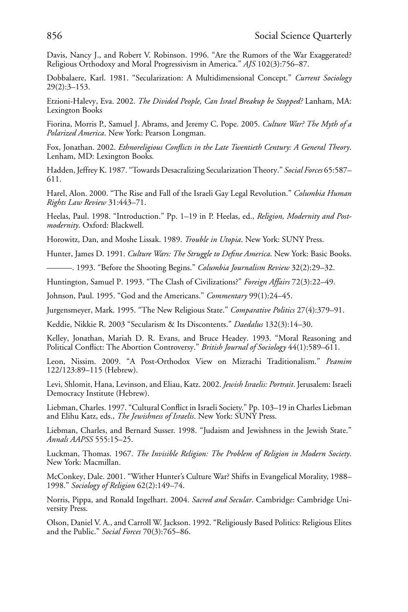Davis, Nancy J., and Robert V. Robinson. 1996. "Are the Rumors of the War Exaggerated? Religious Orthodoxy and Moral Progressivism in America." *AJS* 102(3):756–87.

Dobbalaere, Karl. 1981. "Secularization: A Multidimensional Concept." *Current Sociology* 29(2):3–153.

Etzioni-Halevy, Eva. 2002. *The Divided People, Can Israel Breakup be Stopped?* Lanham, MA: Lexington Books

Fiorina, Morris P., Samuel J. Abrams, and Jeremy C. Pope. 2005. *Culture War? The Myth of a Polarized America*. New York: Pearson Longman.

Fox, Jonathan. 2002. *Ethnoreligious Conflicts in the Late Twentieth Century: A General Theory*. Lenham, MD: Lexington Books.

Hadden, Jeffrey K. 1987. "Towards Desacralizing Secularization Theory." *Social Forces* 65:587– 611.

Harel, Alon. 2000. "The Rise and Fall of the Israeli Gay Legal Revolution." *Columbia Human Rights Law Review* 31:443–71.

Heelas, Paul. 1998. "Introduction." Pp. 1–19 in P. Heelas, ed., *Religion, Modernity and Postmodernity*. Oxford: Blackwell.

Horowitz, Dan, and Moshe Lissak. 1989. *Trouble in Utopia*. New York: SUNY Press.

Hunter, James D. 1991. *Culture Wars: The Struggle to Define America*. New York: Basic Books.

———. 1993. "Before the Shooting Begins." *Columbia Journalism Review* 32(2):29–32.

Huntington, Samuel P. 1993. "The Clash of Civilizations?" *Foreign Affairs* 72(3):22–49.

Johnson, Paul. 1995. "God and the Americans." *Commentary* 99(1):24–45.

Jurgensmeyer, Mark. 1995. "The New Religious State." *Comparative Politics* 27(4):379–91.

Keddie, Nikkie R. 2003 "Secularism & Its Discontents." *Daedalus* 132(3):14–30.

Kelley, Jonathan, Mariah D. R. Evans, and Bruce Headey. 1993. "Moral Reasoning and Political Conflict: The Abortion Controversy." *British Journal of Sociology* 44(1):589–611.

Leon, Nissim. 2009. "A Post-Orthodox View on Mizrachi Traditionalism." *Peamim* 122/123:89–115 (Hebrew).

Levi, Shlomit, Hana, Levinson, and Eliau, Katz. 2002. *Jewish Israelis: Portrait*. Jerusalem: Israeli Democracy Institute (Hebrew).

Liebman, Charles. 1997. "Cultural Conflict in Israeli Society." Pp. 103–19 in Charles Liebman and Elihu Katz, eds., *The Jewishness of Israelis*. New York: SUNY Press.

Liebman, Charles, and Bernard Susser. 1998. "Judaism and Jewishness in the Jewish State." *Annals AAPSS* 555:15–25.

Luckman, Thomas. 1967. *The Invisible Religion: The Problem of Religion in Modern Society*. New York: Macmillan.

McConkey, Dale. 2001. "Wither Hunter's Culture War? Shifts in Evangelical Morality, 1988– 1998." *Sociology of Religion* 62(2):149–74.

Norris, Pippa, and Ronald Ingelhart. 2004. *Sacred and Secular*. Cambridge: Cambridge University Press.

Olson, Daniel V. A., and Carroll W. Jackson. 1992. "Religiously Based Politics: Religious Elites and the Public." *Social Forces* 70(3):765–86.